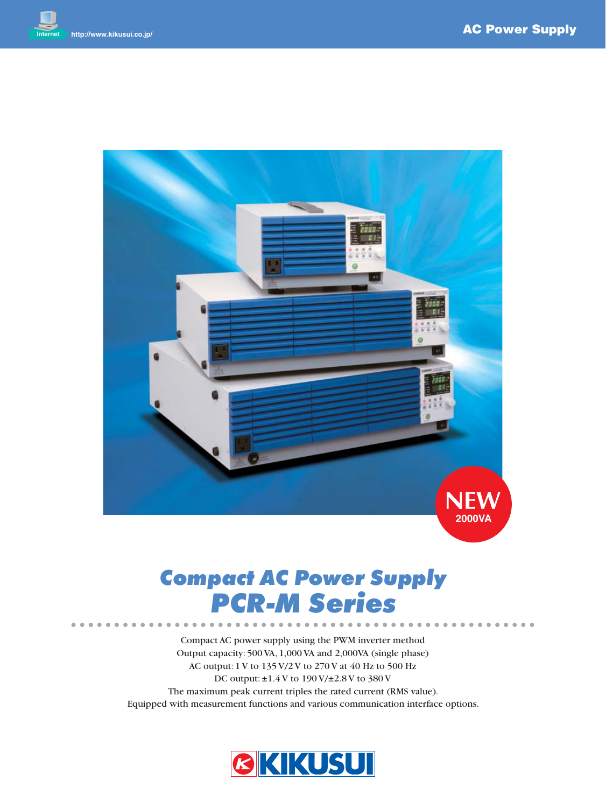

## *Compact AC Power Supply PCR-M Series*

Compact AC power supply using the PWM inverter method Output capacity: 500 VA, 1,000 VA and 2,000VA (single phase) AC output: 1 V to 135 V/2 V to 270 V at 40 Hz to 500 Hz DC output: ±1.4 V to 190 V/±2.8 V to 380 V The maximum peak current triples the rated current (RMS value). Equipped with measurement functions and various communication interface options.

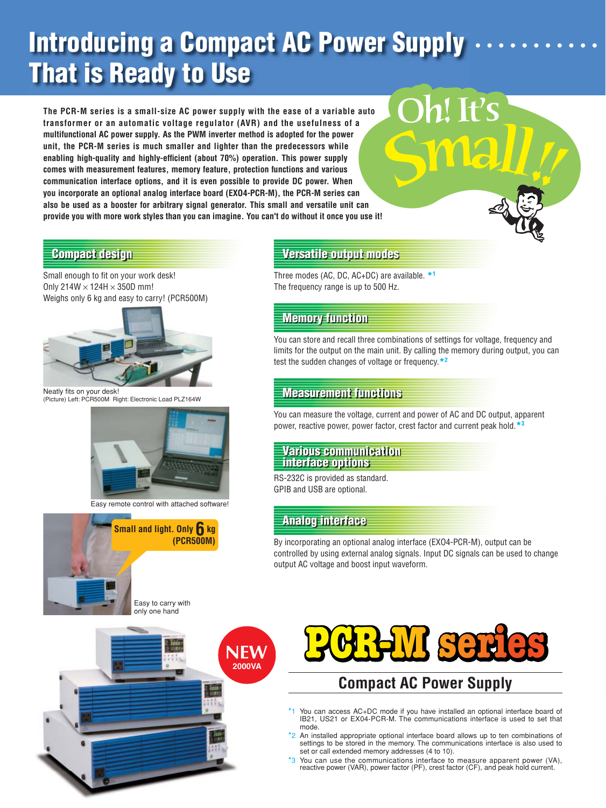# **Introducing a Compact AC Power Supply That is Ready to Use**

**The PCR-M series is a small-size AC power supply with the ease of a variable auto transformer or an automatic voltage regulator (AVR) and the usefulness of a multifunctional AC power supply. As the PWM inverter method is adopted for the power unit, the PCR-M series is much smaller and lighter than the predecessors while enabling high-quality and highly-efficient (about 70%) operation. This power supply comes with measurement features, memory feature, protection functions and various communication interface options, and it is even possible to provide DC power. When you incorporate an optional analog interface board (EXO4-PCR-M), the PCR-M series can also be used as a booster for arbitrary signal generator. This small and versatile unit can provide you with more work styles than you can imagine. You can't do without it once you use it!**

Small enough to fit on your work desk! Only  $214W \times 124H \times 350D$  mm! Weighs only 6 kg and easy to carry! (PCR500M)



Neatly fits on your desk!<br>(Picture) Left: PCR500M Right: Electronic Load PLZ164W



Easy remote control with attached software!



Easy to carry with only one hand



## **Compact design Versatile output modes**

Three modes (AC, DC, AC+DC) are available. **\*1** The frequency range is up to 500 Hz.

## **Memory function**

You can store and recall three combinations of settings for voltage, frequency and limits for the output on the main unit. By calling the memory during output, you can test the sudden changes of voltage or frequency.**\*2**

Oh! It's

## **Measurement functions**

You can measure the voltage, current and power of AC and DC output, apparent power, reactive power, power factor, crest factor and current peak hold.**\*3**

#### **Various communication interface options**

RS-232C is provided as standard. GPIB and USB are optional.

## **Analog interface**

By incorporating an optional analog interface (EXO4-PCR-M), output can be controlled by using external analog signals. Input DC signals can be used to change output AC voltage and boost input waveform.



## **Compact AC Power Supply**

- \*1 You can access AC+DC mode if you have installed an optional interface board of IB21, US21 or EX04-PCR-M. The communications interface is used to set that mode.
- <sup>2</sup> An installed appropriate optional interface board allows up to ten combinations of settings to be stored in the memory. The communications interface is also used to set or call extended memory addresses (4 to 10).
- \*3 You can use the communications interface to measure apparent power (VA), reactive power (VAR), power factor (PF), crest factor (CF), and peak hold current.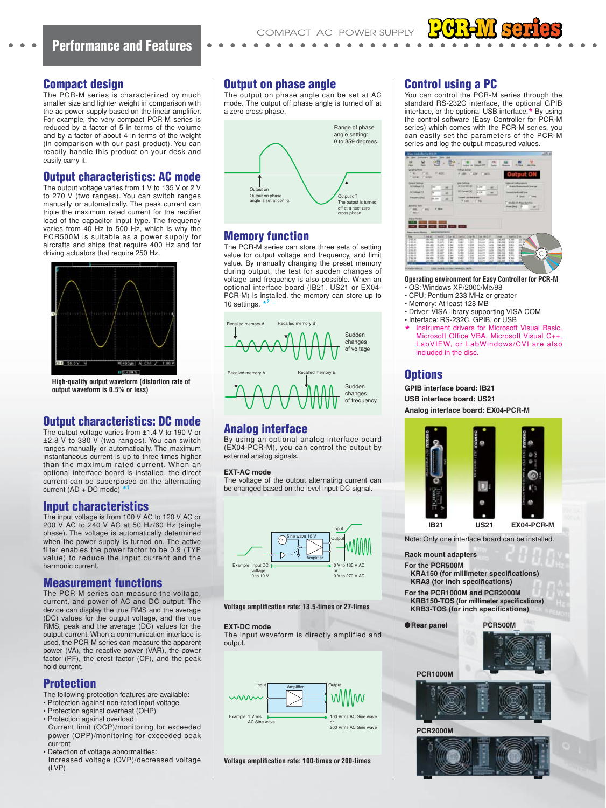#### **Compact design**

The PCR-M series is characterized by much smaller size and lighter weight in comparison with the ac power supply based on the linear amplifier. For example, the very compact PCR-M series is reduced by a factor of 5 in terms of the volume and by a factor of about 4 in terms of the weight (in comparison with our past product). You can readily handle this product on your desk and easily carry it.

#### **Output characteristics: AC mode**

The output voltage varies from 1 V to 135 V or 2 V to 270 V (two ranges). You can switch ranges manually or automatically. The peak current can triple the maximum rated current for the rectifier load of the capacitor input type. The frequency varies from 40 Hz to 500 Hz, which is why the PCR500M is suitable as a power supply for aircrafts and ships that require 400 Hz and for driving actuators that require 250 Hz.



**High-quality output waveform (distortion rate of output waveform is 0.5% or less)**

#### **Output characteristics: DC mode**

The output voltage varies from ±1.4 V to 190 V or ±2.8 V to 380 V (two ranges). You can switch ranges manually or automatically. The maximum instantaneous current is up to three times higher than the maximum rated current. When an optional interface board is installed, the direct current can be superposed on the alternating current (AD + DC mode)

#### **Input characteristics**

The input voltage is from 100 V AC to 120 V AC or 200 V AC to 240 V AC at 50 Hz/60 Hz (single phase). The voltage is automatically determined when the power supply is turned on. The active filter enables the power factor to be 0.9 (TYP value) to reduce the input current and the harmonic current.

#### **Measurement functions**

The PCR-M series can measure the voltage, current, and power of AC and DC output. The device can display the true RMS and the average (DC) values for the output voltage, and the true RMS, peak and the average (DC) values for the output current. When a communication interface is used, the PCR-M series can measure the apparent power (VA), the reactive power (VAR), the power factor (PF), the crest factor (CF), and the peak hold current.

#### **Protection**

- The following protection features are available:
- Protection against non-rated input voltage
- Protection against overheat (OHP)
- Protection against overload: Current limit (OCP)/monitoring for exceeded power (OPP)/monitoring for exceeded peak
- current • Detection of voltage abnormalities:
- Increased voltage (OVP)/decreased voltage (LVP)

#### **Output on phase angle**

The output on phase angle can be set at AC mode. The output off phase angle is turned off at a zero cross phase.



### **Memory function**

The PCR-M series can store three sets of setting value for output voltage and frequency, and limit value. By manually changing the preset memory during output, the test for sudden changes of voltage and frequency is also possible. When an optional interface board (IB21, US21 or EX04- PCR-M) is installed, the memory can store up to 10 settings. **\*2**



## **Analog interface**

By using an optional analog interface board (EX04-PCR-M), you can control the output by external analog signals.

#### **EXT-AC mode**

The voltage of the output alternating current can be changed based on the level input DC signal.



#### **Voltage amplification rate: 13.5-times or 27-times**

#### **EXT-DC mode**

The input waveform is directly amplified and output.



#### **Voltage amplification rate: 100-times or 200-times**

### **Control using a PC**

You can control the PCR-M series through the standard RS-232C interface, the optional GPIB interface, or the optional USB interface.**\*** By using the control software (Easy Controller for PCR-M series) which comes with the PCR-M series, you can easily set the parameters of the PCR-M series and log the output measured values.



**Operating environment for Easy Controller for PCR-M**

- OS: Windows XP/2000/Me/98
- CPU: Pentium 233 MHz or greater
- Memory: At least 128 MB
- Driver: VISA library supporting VISA COM
- Interface: RS-232C, GPIB, or USB
- **Instrument drivers for Microsoft Visual Basic,** Microsoft Office VBA, Microsoft Visual C++, LabVIEW, or LabWindows/CVI are also included in the disc.

#### **Options**

**GPIB interface board: IB21**

**USB interface board: US21**

**Analog interface board: EX04-PCR-M**



Note: Only one interface board can be installed.

- **Rack mount adapters**
- **For the PCR500M**
- **KRA150 (for millimeter specifications) KRA3** (for inch specifications)
- **For the PCR1000M and PCR2000M KRB150-TOS (for millimeter specifications)** 
	-